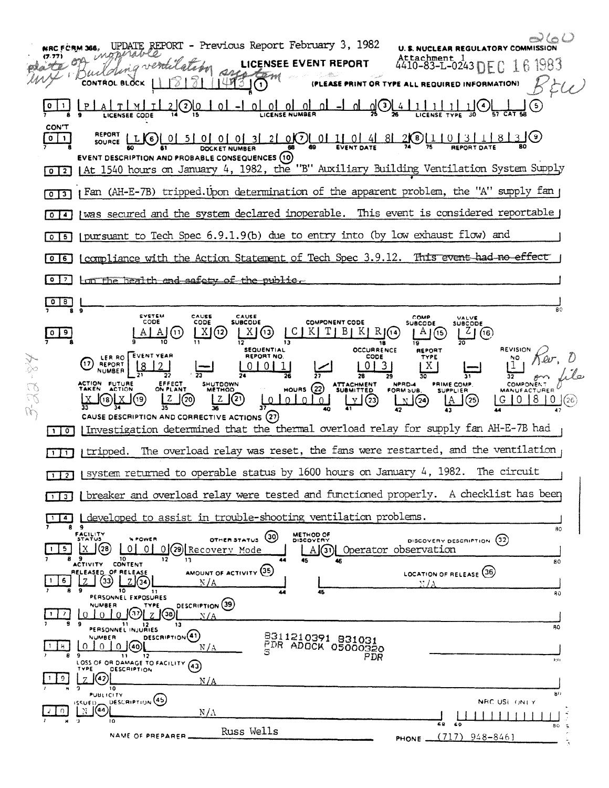| $0$ $0$ $0$ $0$ $0$ $1$ $1$ $1$ $0$ $0$ $3$<br>$(2)$ <u><math>0</math></u><br>1 <sub>0</sub> 1<br>(5)<br><b>LICENSEE CODE</b><br><b>CON'T</b><br>SOURCE LEG 0 5 0 0 0 0 0 3 2 0 0 0 1 0 4 8 2 0 1 1 0 1 1 0 3 1 0 3 1 0 3 0<br>$0$   $1$<br><b>EVENT DESCRIPTION AND PROBABLE CONSEQUENCES (10)</b><br>(At 1540 hours on January 4, 1982, the "B" Auxiliary Building Ventilation System Supply<br>$\boxed{0}$ $\boxed{2}$<br>Fan (AH-E-7B) tripped.Upon determination of the apparent problem, the "A" supply fan p<br>was secured and the system declared inoperable. This event is considered reportable j<br>$\circ$<br>14<br>(pursuant to Tech Spec 6.9.1.9(b) due to entry into (by low exhaust flow) and<br>$0$   5<br>compliance with the Action Statement of Tech Spec 3.9.12. This event had no effect<br>$0$ 6<br>$\begin{array}{c} \circ \\ \circ \end{array}$<br><u>Lon the health and safety of the public.</u><br>$^{\circ}$<br>$\circ$<br>80<br><b>EVSTEM</b><br>CAUSE<br>CAUSE<br>COMP<br>VALVE<br>CODE<br>CODE<br><b>SUBCODE</b><br><b>COMPONENT CODE</b><br><b>SUBCODE</b><br><b>SUBCODE</b><br>$ K  R$ $(14)$<br>X)<br>$\mathcal{L}$<br>  (12)<br>(13)<br>(16)<br>(11)<br>18<br>19<br><b>REVISION</b><br><b>SEQUENTIAL</b><br><b>OCCURRENCE</b><br>REPORT<br>LER RO EVENT YEAR<br>REPORT NO.<br>CODE<br>TYPE<br>$\sum_{i=1}^{\infty}$<br>'17<br>REPORT<br>NUMBER<br>ACTION FUTURE<br>EFFECT<br><b>SHUTDOWN</b><br>NPRD-4<br>PRIME COMP.<br>HOURS 22 ATTACHMENT<br><b>COMPONENT</b><br>22<br>22<br>ON PLANT<br><b>ACTION</b><br><b>METHOD</b><br>FORM SUB.<br><b>MANUFACTURER</b><br><b>SUPPLIER</b><br>l 8.<br>$\left( 18\right)$<br>LOIOIOIOI<br>(23)<br>$\mathbb{L}^{(24)}$<br>(25)<br>(26)<br>V I<br>U.<br>CAUSE DESCRIPTION AND CORRECTIVE ACTIONS (27)<br>Investigation determined that the thermal overload relay for supply fan AH-E-7B had<br>$\circ$<br>The overload relay was reset, the fans were restarted, and the ventilation<br>I tripped.<br>$\mathbf{1}$<br>I system returned to operable status by 1600 hours on January 4, 1982. The circuit<br>$\overline{1}$ $\overline{2}$<br>breaker and overload relay were tested and functioned properly. A checklist has been |
|-------------------------------------------------------------------------------------------------------------------------------------------------------------------------------------------------------------------------------------------------------------------------------------------------------------------------------------------------------------------------------------------------------------------------------------------------------------------------------------------------------------------------------------------------------------------------------------------------------------------------------------------------------------------------------------------------------------------------------------------------------------------------------------------------------------------------------------------------------------------------------------------------------------------------------------------------------------------------------------------------------------------------------------------------------------------------------------------------------------------------------------------------------------------------------------------------------------------------------------------------------------------------------------------------------------------------------------------------------------------------------------------------------------------------------------------------------------------------------------------------------------------------------------------------------------------------------------------------------------------------------------------------------------------------------------------------------------------------------------------------------------------------------------------------------------------------------------------------------------------------------------------------------------------------------------------------------------------------------------------------------------------------------------------------------------------------------------------------------------------------------------------------------------------------------------------------------------|
|                                                                                                                                                                                                                                                                                                                                                                                                                                                                                                                                                                                                                                                                                                                                                                                                                                                                                                                                                                                                                                                                                                                                                                                                                                                                                                                                                                                                                                                                                                                                                                                                                                                                                                                                                                                                                                                                                                                                                                                                                                                                                                                                                                                                             |
|                                                                                                                                                                                                                                                                                                                                                                                                                                                                                                                                                                                                                                                                                                                                                                                                                                                                                                                                                                                                                                                                                                                                                                                                                                                                                                                                                                                                                                                                                                                                                                                                                                                                                                                                                                                                                                                                                                                                                                                                                                                                                                                                                                                                             |
|                                                                                                                                                                                                                                                                                                                                                                                                                                                                                                                                                                                                                                                                                                                                                                                                                                                                                                                                                                                                                                                                                                                                                                                                                                                                                                                                                                                                                                                                                                                                                                                                                                                                                                                                                                                                                                                                                                                                                                                                                                                                                                                                                                                                             |
|                                                                                                                                                                                                                                                                                                                                                                                                                                                                                                                                                                                                                                                                                                                                                                                                                                                                                                                                                                                                                                                                                                                                                                                                                                                                                                                                                                                                                                                                                                                                                                                                                                                                                                                                                                                                                                                                                                                                                                                                                                                                                                                                                                                                             |
|                                                                                                                                                                                                                                                                                                                                                                                                                                                                                                                                                                                                                                                                                                                                                                                                                                                                                                                                                                                                                                                                                                                                                                                                                                                                                                                                                                                                                                                                                                                                                                                                                                                                                                                                                                                                                                                                                                                                                                                                                                                                                                                                                                                                             |
|                                                                                                                                                                                                                                                                                                                                                                                                                                                                                                                                                                                                                                                                                                                                                                                                                                                                                                                                                                                                                                                                                                                                                                                                                                                                                                                                                                                                                                                                                                                                                                                                                                                                                                                                                                                                                                                                                                                                                                                                                                                                                                                                                                                                             |
|                                                                                                                                                                                                                                                                                                                                                                                                                                                                                                                                                                                                                                                                                                                                                                                                                                                                                                                                                                                                                                                                                                                                                                                                                                                                                                                                                                                                                                                                                                                                                                                                                                                                                                                                                                                                                                                                                                                                                                                                                                                                                                                                                                                                             |
|                                                                                                                                                                                                                                                                                                                                                                                                                                                                                                                                                                                                                                                                                                                                                                                                                                                                                                                                                                                                                                                                                                                                                                                                                                                                                                                                                                                                                                                                                                                                                                                                                                                                                                                                                                                                                                                                                                                                                                                                                                                                                                                                                                                                             |
|                                                                                                                                                                                                                                                                                                                                                                                                                                                                                                                                                                                                                                                                                                                                                                                                                                                                                                                                                                                                                                                                                                                                                                                                                                                                                                                                                                                                                                                                                                                                                                                                                                                                                                                                                                                                                                                                                                                                                                                                                                                                                                                                                                                                             |
|                                                                                                                                                                                                                                                                                                                                                                                                                                                                                                                                                                                                                                                                                                                                                                                                                                                                                                                                                                                                                                                                                                                                                                                                                                                                                                                                                                                                                                                                                                                                                                                                                                                                                                                                                                                                                                                                                                                                                                                                                                                                                                                                                                                                             |
|                                                                                                                                                                                                                                                                                                                                                                                                                                                                                                                                                                                                                                                                                                                                                                                                                                                                                                                                                                                                                                                                                                                                                                                                                                                                                                                                                                                                                                                                                                                                                                                                                                                                                                                                                                                                                                                                                                                                                                                                                                                                                                                                                                                                             |
|                                                                                                                                                                                                                                                                                                                                                                                                                                                                                                                                                                                                                                                                                                                                                                                                                                                                                                                                                                                                                                                                                                                                                                                                                                                                                                                                                                                                                                                                                                                                                                                                                                                                                                                                                                                                                                                                                                                                                                                                                                                                                                                                                                                                             |
|                                                                                                                                                                                                                                                                                                                                                                                                                                                                                                                                                                                                                                                                                                                                                                                                                                                                                                                                                                                                                                                                                                                                                                                                                                                                                                                                                                                                                                                                                                                                                                                                                                                                                                                                                                                                                                                                                                                                                                                                                                                                                                                                                                                                             |
|                                                                                                                                                                                                                                                                                                                                                                                                                                                                                                                                                                                                                                                                                                                                                                                                                                                                                                                                                                                                                                                                                                                                                                                                                                                                                                                                                                                                                                                                                                                                                                                                                                                                                                                                                                                                                                                                                                                                                                                                                                                                                                                                                                                                             |
|                                                                                                                                                                                                                                                                                                                                                                                                                                                                                                                                                                                                                                                                                                                                                                                                                                                                                                                                                                                                                                                                                                                                                                                                                                                                                                                                                                                                                                                                                                                                                                                                                                                                                                                                                                                                                                                                                                                                                                                                                                                                                                                                                                                                             |
|                                                                                                                                                                                                                                                                                                                                                                                                                                                                                                                                                                                                                                                                                                                                                                                                                                                                                                                                                                                                                                                                                                                                                                                                                                                                                                                                                                                                                                                                                                                                                                                                                                                                                                                                                                                                                                                                                                                                                                                                                                                                                                                                                                                                             |
| I 3                                                                                                                                                                                                                                                                                                                                                                                                                                                                                                                                                                                                                                                                                                                                                                                                                                                                                                                                                                                                                                                                                                                                                                                                                                                                                                                                                                                                                                                                                                                                                                                                                                                                                                                                                                                                                                                                                                                                                                                                                                                                                                                                                                                                         |
| developed to assist in trouble-shooting ventilation problems.<br>$\overline{a}$<br>$\cdot$<br>80                                                                                                                                                                                                                                                                                                                                                                                                                                                                                                                                                                                                                                                                                                                                                                                                                                                                                                                                                                                                                                                                                                                                                                                                                                                                                                                                                                                                                                                                                                                                                                                                                                                                                                                                                                                                                                                                                                                                                                                                                                                                                                            |
| FACILITY<br><b>METHOD OF</b><br>(30)<br><b>STATUS</b><br><b><i>NPOWER</i></b><br>OTHER STATUS<br>(32)<br>DISCOVERY<br>DISCOVERY DESCRIPTION<br>(28<br>-0 I<br>ΙX.<br>01<br>0(29) Recovery Mode<br>5.<br>Operator observation<br>A(3)<br>10<br>13<br>80                                                                                                                                                                                                                                                                                                                                                                                                                                                                                                                                                                                                                                                                                                                                                                                                                                                                                                                                                                                                                                                                                                                                                                                                                                                                                                                                                                                                                                                                                                                                                                                                                                                                                                                                                                                                                                                                                                                                                      |
| ACTIVITY CONTENT<br>AMOUNT OF ACTIVITY (35)<br>LOCATION OF RELEASE (36)<br>RELEASED OF RELEASE<br>(33)<br>6<br>N / A<br>N / A<br>9<br>10<br>45<br>11<br>44<br>ŖŨ                                                                                                                                                                                                                                                                                                                                                                                                                                                                                                                                                                                                                                                                                                                                                                                                                                                                                                                                                                                                                                                                                                                                                                                                                                                                                                                                                                                                                                                                                                                                                                                                                                                                                                                                                                                                                                                                                                                                                                                                                                            |
| PERSONNEL EXPOSURES<br>DESCRIPTION (39)<br>NUMBER<br>TYPE<br>38<br>N/A                                                                                                                                                                                                                                                                                                                                                                                                                                                                                                                                                                                                                                                                                                                                                                                                                                                                                                                                                                                                                                                                                                                                                                                                                                                                                                                                                                                                                                                                                                                                                                                                                                                                                                                                                                                                                                                                                                                                                                                                                                                                                                                                      |
| 9<br>11<br>13<br>12<br>80<br>PERSONNEL INJURIES<br>DESCRIPTION <sup>(41)</sup><br>8311210391 831031<br>NUMBER<br>PDR ADOCK 05000320<br>0 i(40)<br>н<br>$\Omega$<br>$\Omega$<br>N/A                                                                                                                                                                                                                                                                                                                                                                                                                                                                                                                                                                                                                                                                                                                                                                                                                                                                                                                                                                                                                                                                                                                                                                                                                                                                                                                                                                                                                                                                                                                                                                                                                                                                                                                                                                                                                                                                                                                                                                                                                          |
| -9<br>$\overline{\mathbf{1}}$<br>12<br>PDR<br>1/11<br>LOSS OF OR DAMAGE TO FACILITY (43)<br><b>DESCRIPTION</b><br>TYPE<br>l(42)<br>9<br>7<br>N/A                                                                                                                                                                                                                                                                                                                                                                                                                                                                                                                                                                                                                                                                                                                                                                                                                                                                                                                                                                                                                                                                                                                                                                                                                                                                                                                                                                                                                                                                                                                                                                                                                                                                                                                                                                                                                                                                                                                                                                                                                                                            |
| ١٥<br>80<br><b>PUBLICITY</b><br>DESCRIPTION <sup>(45)</sup><br>NRC USE ONLY<br>ISSUED.<br>[(44]<br>N<br>n.<br>$N/\Lambda$                                                                                                                                                                                                                                                                                                                                                                                                                                                                                                                                                                                                                                                                                                                                                                                                                                                                                                                                                                                                                                                                                                                                                                                                                                                                                                                                                                                                                                                                                                                                                                                                                                                                                                                                                                                                                                                                                                                                                                                                                                                                                   |
| -91<br>10<br>68<br>69<br>80<br>-5                                                                                                                                                                                                                                                                                                                                                                                                                                                                                                                                                                                                                                                                                                                                                                                                                                                                                                                                                                                                                                                                                                                                                                                                                                                                                                                                                                                                                                                                                                                                                                                                                                                                                                                                                                                                                                                                                                                                                                                                                                                                                                                                                                           |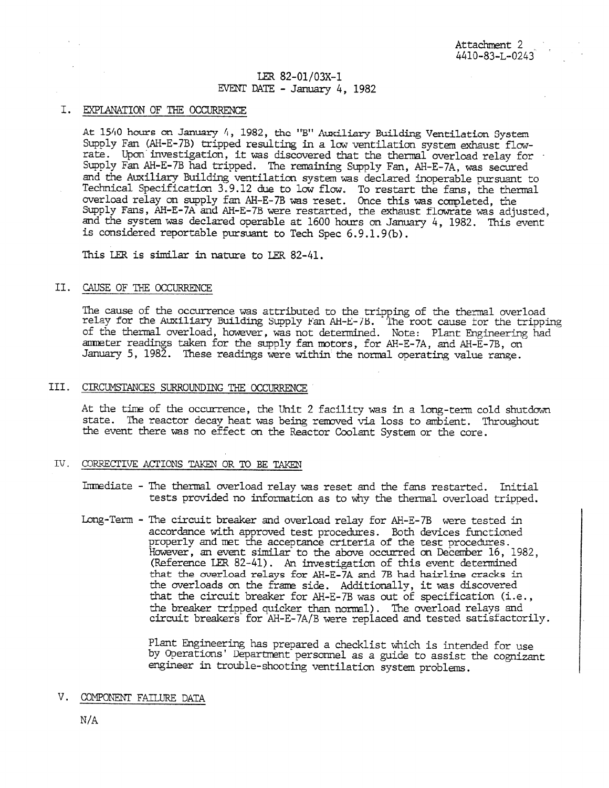# LER 82-01/03X-1 EVENT DATE - January 4, 1982

## I. EXPLANATION OF THE OCCURRENCE

At 15/10 hours on January 4, 1982, the "B" Auxiliary Building Ventilation System Supply Fan (AH-E-7B) tripped resulting in a low ventilation system exhaust flowrate. Upon investigation, it was discovered that the thermal overload relay for - Supply Fan AH-E-7B had tripped. The remaining Supply Fan, AH-E-7A, was secured and the Auxiliary Building ventilation system was declared inoperable pursuant to Technical Specification 3.9.12 due to low flow. To restart the fans, the thermal overload relay on supply fan AH-E-7B was reset. Once this was campleted, the Supply Fans, AH-E-7A. and AH-E-7B were restarted, the exhaust tlowrate was adjusted, and the system was declared operable at 1600 hours on January 4, 1982. This event is considered reportable pursuant to Tech Spec 6.9.1.9(b).

This LER is similar in nature to LER 82-41.

### II. CAUSE OF THE OCCURRENCE

The cause of the occurrence was attributed to the tripping of the thermal overload relay for the Auxiliary Building Supply lean Ai-E-/B. The root cause tor the tripping of the thermal overload, however, was not determined. Note: Plant Engineering had ammeter readings taken for the supply fan motors, for AH-E-7A, and AH-E-7B, on January 5, 1982. These readings were within the normal operating value range.

#### III. CIRCUMSTANCES SURROUNDING THE OCCURRENCE

At the time of the occurrence, the Unit 2 facility was in a long-term cold shutdown state. The reactor decay heat was being removed via loss to ambient. Throughout the event there was no effect on the Reactor Coolant System or the core.

#### TV. CORRECTIVE ACTIONS TAKEN OR TO BE TAKEN

Immediate - The thermal overload relay was reset and the fans restarted. Initial tests provided no information as to why the thermal overload tripped.

Long-Term - The circuit breaker and overload relay for AH-E-7B were tested in accordance with approved test procedures. Both devices functioned properly and met the acceptance criteria of the test procedures. However, an event similar to the above occurred on December 16, 1982, (Reference LER 82-41). An investigation of this event determined that the overload relays for AH-E-7A and 7B had hairline cracks in the overloads on the frame side. Additionally, it was discovered that the circuit breaker for AH-E-7B was out of specification (i.e., the breaker tripped quicker than normal). The overload relays and circuit breakers for AH-E-7A/B were replaced and tested satisfactorily.

> Plant Engineering has prepared a checklist which is intended for use by Operations' Department personnel as a guide to assist the cognizant engineer in trouble-shooting ventilation system problems.

## V. COMPONENT FAILURE DATA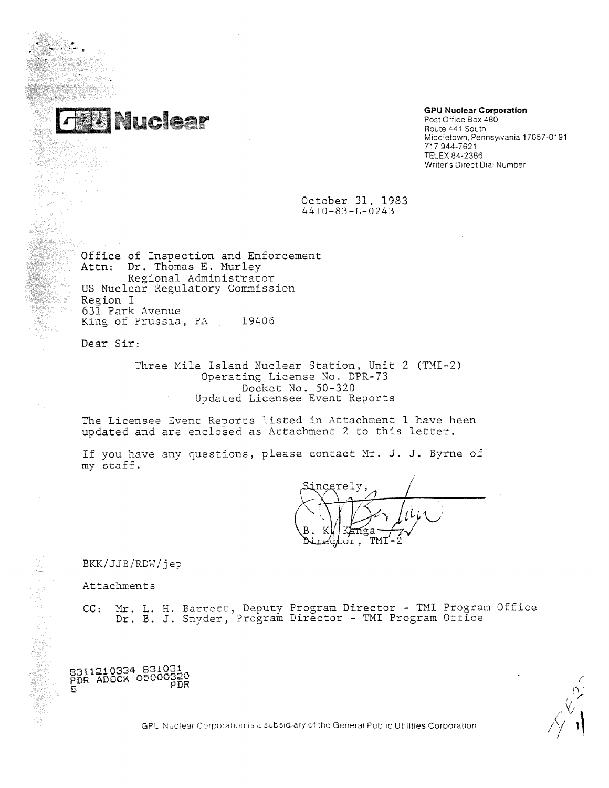

# **GPU Nuclear Corporation**

Post Office Box 480 Route 441 South Middletown, Pennsylvania 17057-0191 717 944-7621 TELEX 84-2386 Writer's Direct Dial Number:

October 31, 1983  $4410 - 83 - L - 0243$ 

Office of Inspection and Enforcement Attn: Dr. Thomas E. Murley Regional Administrator US Nuclear Regulatory Commission Region I 631 Park Avenue King of Prussia, PA 19406

Dear Sir:

Three Mile Island Nuclear Station, Unit 2 (TMI-2) Operating License No. DPR-73 Docket No. 50-320 Updated Licensee Event Reports

The Licensee Event Reports listed in Attachment 1 have been updated and are enclosed as Attachment 2 to this letter.

If you have any questions, please contact Mr. J. J. Byrne of my staff.

ncerely. <del>n</del>ga **TMT** ОĽ

BKK/JJB/RDW/jep

Attachments

8311210334 831031 PDR ADOCK 05000329 PDR ADOON -- PDR<br>S

CC: Mr. L. H. Barrett, Deputy Program Director - TMI Program Office Dr. B. J. Snyder, Program Director - TMI Program Office

GPU Nuclear Corporation is a subsidiary of the General Public Utilities Corporation